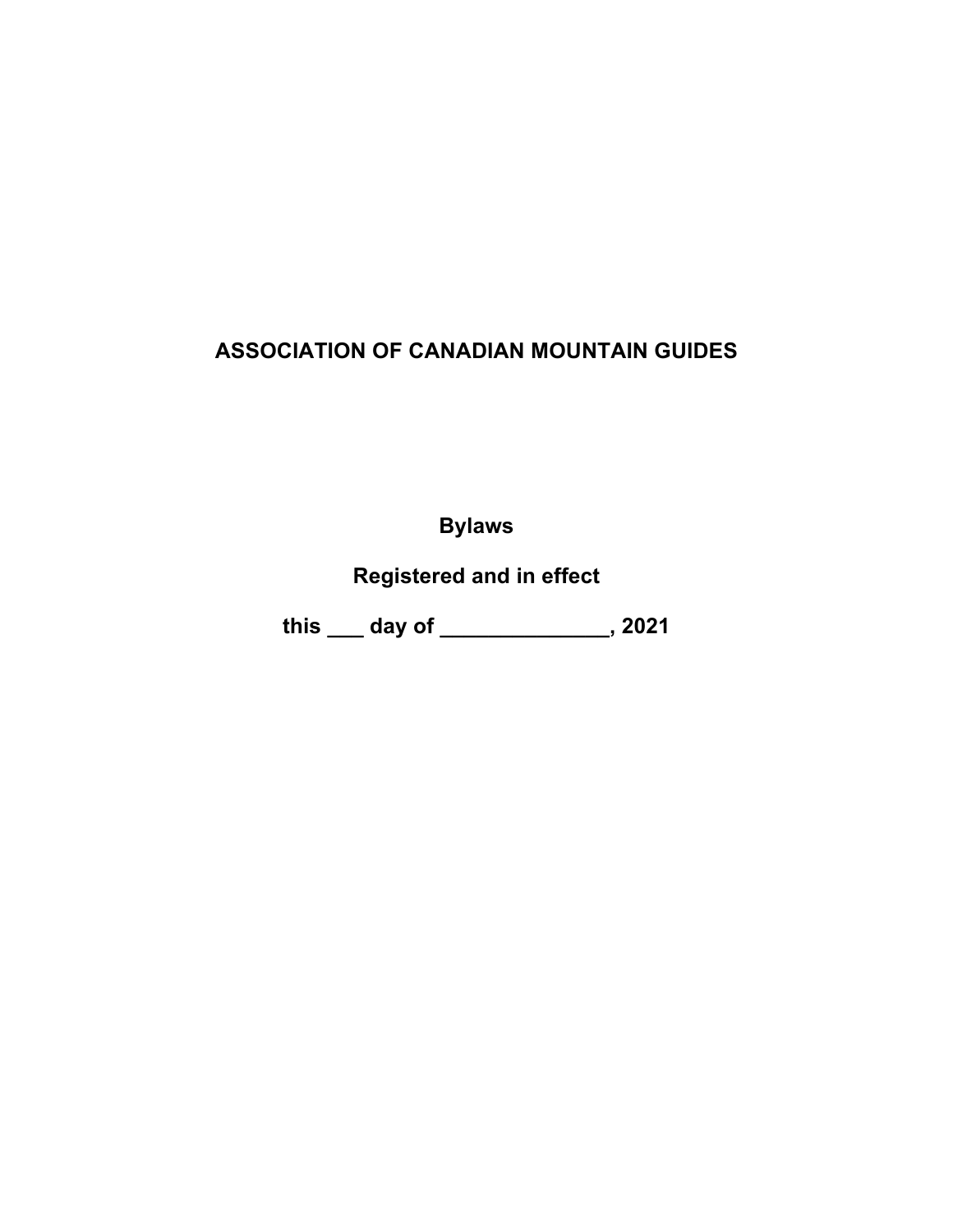# **ASSOCIATION OF CANADIAN MOUNTAIN GUIDES**

**Bylaws**

**Registered and in effect** 

**this \_\_\_ day of \_\_\_\_\_\_\_\_\_\_\_\_\_\_, 2021**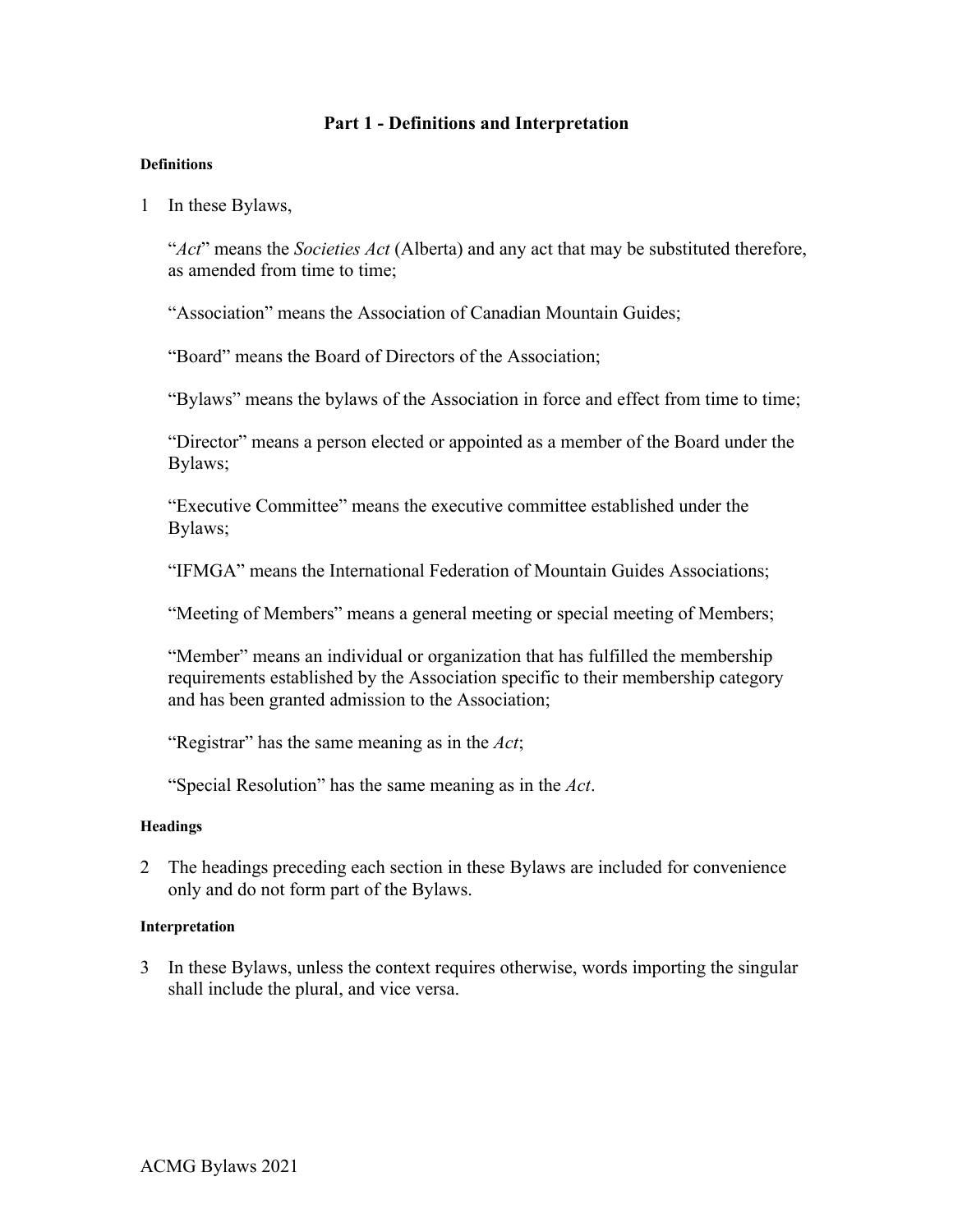# **Part 1 - Definitions and Interpretation**

### **Definitions**

1 In these Bylaws,

"*Act*" means the *Societies Act* (Alberta) and any act that may be substituted therefore, as amended from time to time;

"Association" means the Association of Canadian Mountain Guides;

"Board" means the Board of Directors of the Association;

"Bylaws" means the bylaws of the Association in force and effect from time to time;

"Director" means a person elected or appointed as a member of the Board under the Bylaws;

"Executive Committee" means the executive committee established under the Bylaws;

"IFMGA" means the International Federation of Mountain Guides Associations;

"Meeting of Members" means a general meeting or special meeting of Members;

"Member" means an individual or organization that has fulfilled the membership requirements established by the Association specific to their membership category and has been granted admission to the Association;

"Registrar" has the same meaning as in the *Act*;

"Special Resolution" has the same meaning as in the *Act*.

# **Headings**

2 The headings preceding each section in these Bylaws are included for convenience only and do not form part of the Bylaws.

### **Interpretation**

3 In these Bylaws, unless the context requires otherwise, words importing the singular shall include the plural, and vice versa.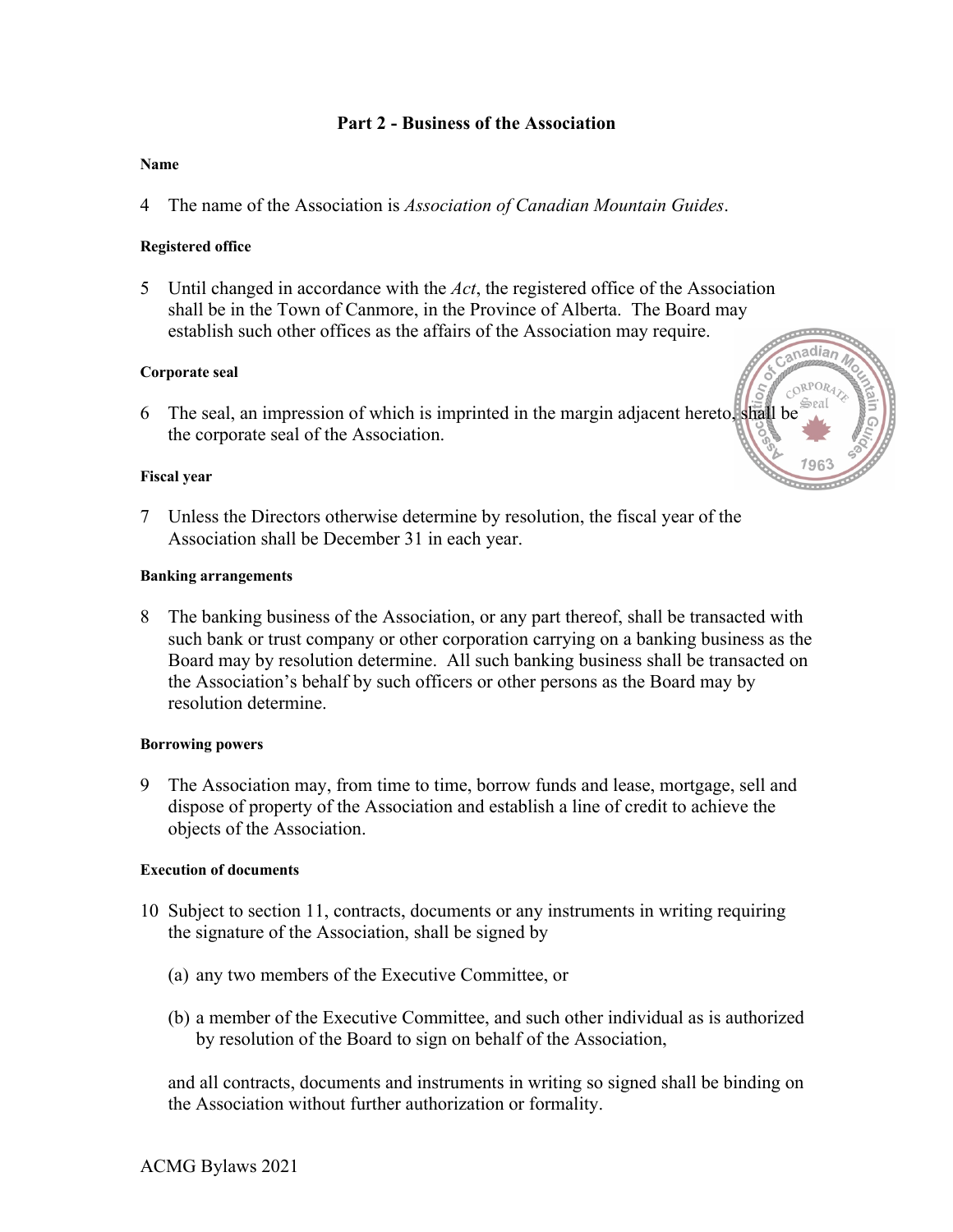# **Part 2 - Business of the Association**

### **Name**

4 The name of the Association is *Association of Canadian Mountain Guides*.

### **Registered office**

5 Until changed in accordance with the *Act*, the registered office of the Association shall be in the Town of Canmore, in the Province of Alberta. The Board may establish such other offices as the affairs of the Association may require.

### **Corporate seal**

6 The seal, an impression of which is imprinted in the margin adjacent hereto, shall be the corporate seal of the Association.

#### **Fiscal year**

7 Unless the Directors otherwise determine by resolution, the fiscal year of the Association shall be December 31 in each year.

#### **Banking arrangements**

8 The banking business of the Association, or any part thereof, shall be transacted with such bank or trust company or other corporation carrying on a banking business as the Board may by resolution determine. All such banking business shall be transacted on the Association's behalf by such officers or other persons as the Board may by resolution determine.

#### **Borrowing powers**

9 The Association may, from time to time, borrow funds and lease, mortgage, sell and dispose of property of the Association and establish a line of credit to achieve the objects of the Association.

#### **Execution of documents**

- 10 Subject to section 11, contracts, documents or any instruments in writing requiring the signature of the Association, shall be signed by
	- (a) any two members of the Executive Committee, or
	- (b) a member of the Executive Committee, and such other individual as is authorized by resolution of the Board to sign on behalf of the Association,

and all contracts, documents and instruments in writing so signed shall be binding on the Association without further authorization or formality.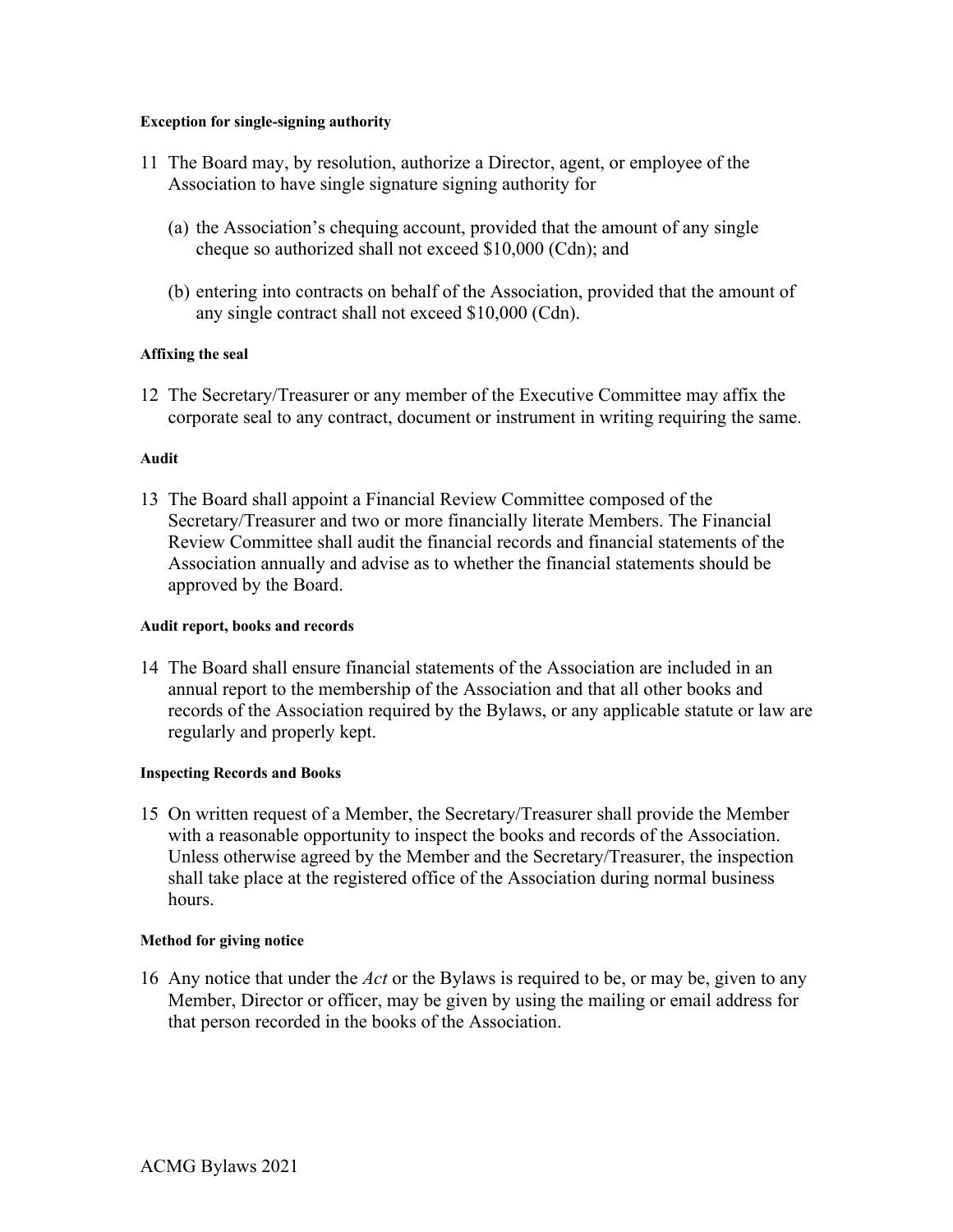### **Exception for single-signing authority**

- 11 The Board may, by resolution, authorize a Director, agent, or employee of the Association to have single signature signing authority for
	- (a) the Association's chequing account, provided that the amount of any single cheque so authorized shall not exceed \$10,000 (Cdn); and
	- (b) entering into contracts on behalf of the Association, provided that the amount of any single contract shall not exceed \$10,000 (Cdn).

# **Affixing the seal**

12 The Secretary/Treasurer or any member of the Executive Committee may affix the corporate seal to any contract, document or instrument in writing requiring the same.

# **Audit**

13 The Board shall appoint a Financial Review Committee composed of the Secretary/Treasurer and two or more financially literate Members. The Financial Review Committee shall audit the financial records and financial statements of the Association annually and advise as to whether the financial statements should be approved by the Board.

# **Audit report, books and records**

14 The Board shall ensure financial statements of the Association are included in an annual report to the membership of the Association and that all other books and records of the Association required by the Bylaws, or any applicable statute or law are regularly and properly kept.

# **Inspecting Records and Books**

15 On written request of a Member, the Secretary/Treasurer shall provide the Member with a reasonable opportunity to inspect the books and records of the Association. Unless otherwise agreed by the Member and the Secretary/Treasurer, the inspection shall take place at the registered office of the Association during normal business hours.

# **Method for giving notice**

16 Any notice that under the *Act* or the Bylaws is required to be, or may be, given to any Member, Director or officer, may be given by using the mailing or email address for that person recorded in the books of the Association.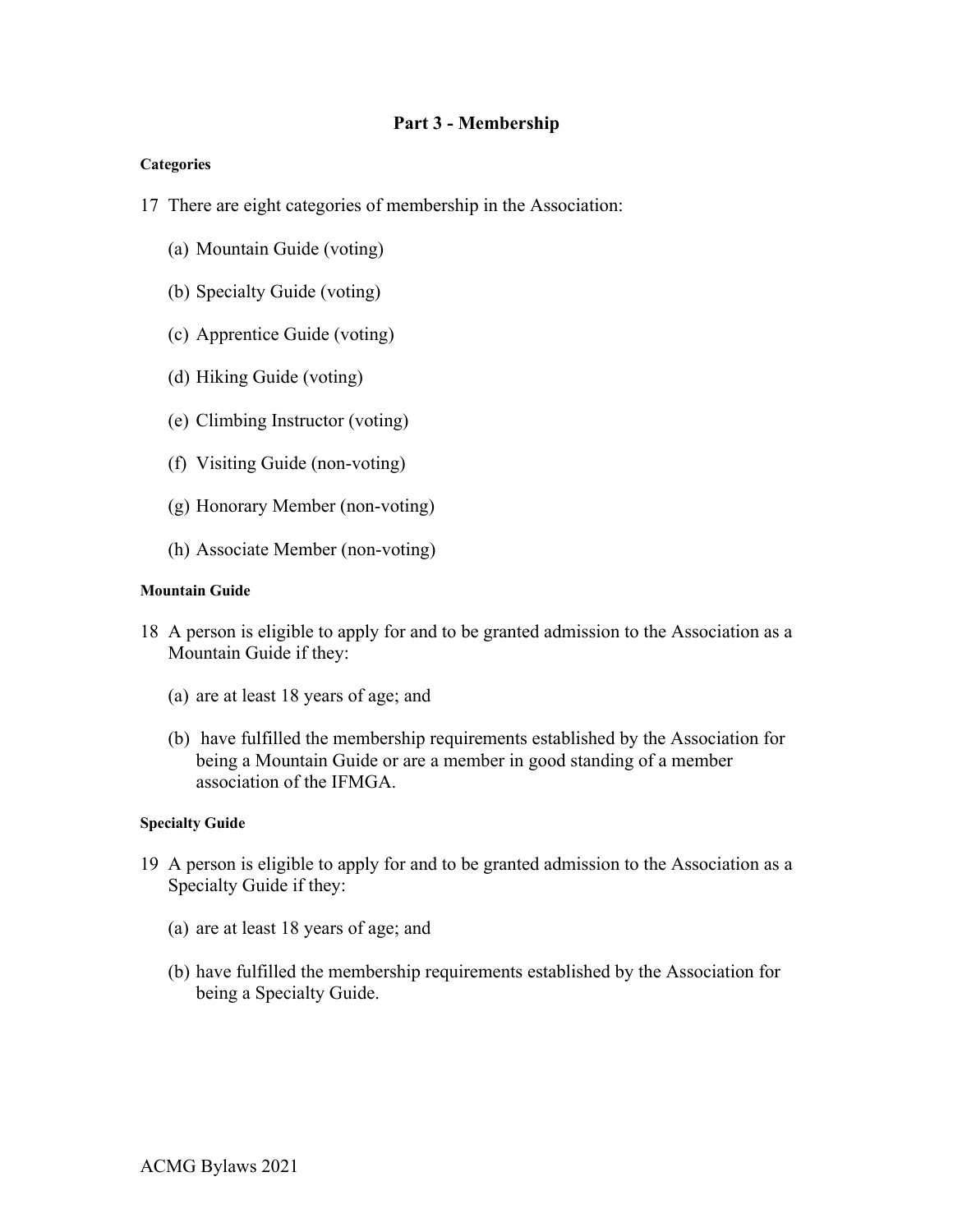# **Part 3 - Membership**

# **Categories**

- 17 There are eight categories of membership in the Association:
	- (a) Mountain Guide (voting)
	- (b) Specialty Guide (voting)
	- (c) Apprentice Guide (voting)
	- (d) Hiking Guide (voting)
	- (e) Climbing Instructor (voting)
	- (f) Visiting Guide (non-voting)
	- (g) Honorary Member (non-voting)
	- (h) Associate Member (non-voting)

### **Mountain Guide**

- 18 A person is eligible to apply for and to be granted admission to the Association as a Mountain Guide if they:
	- (a) are at least 18 years of age; and
	- (b) have fulfilled the membership requirements established by the Association for being a Mountain Guide or are a member in good standing of a member association of the IFMGA.

# **Specialty Guide**

- 19 A person is eligible to apply for and to be granted admission to the Association as a Specialty Guide if they:
	- (a) are at least 18 years of age; and
	- (b) have fulfilled the membership requirements established by the Association for being a Specialty Guide.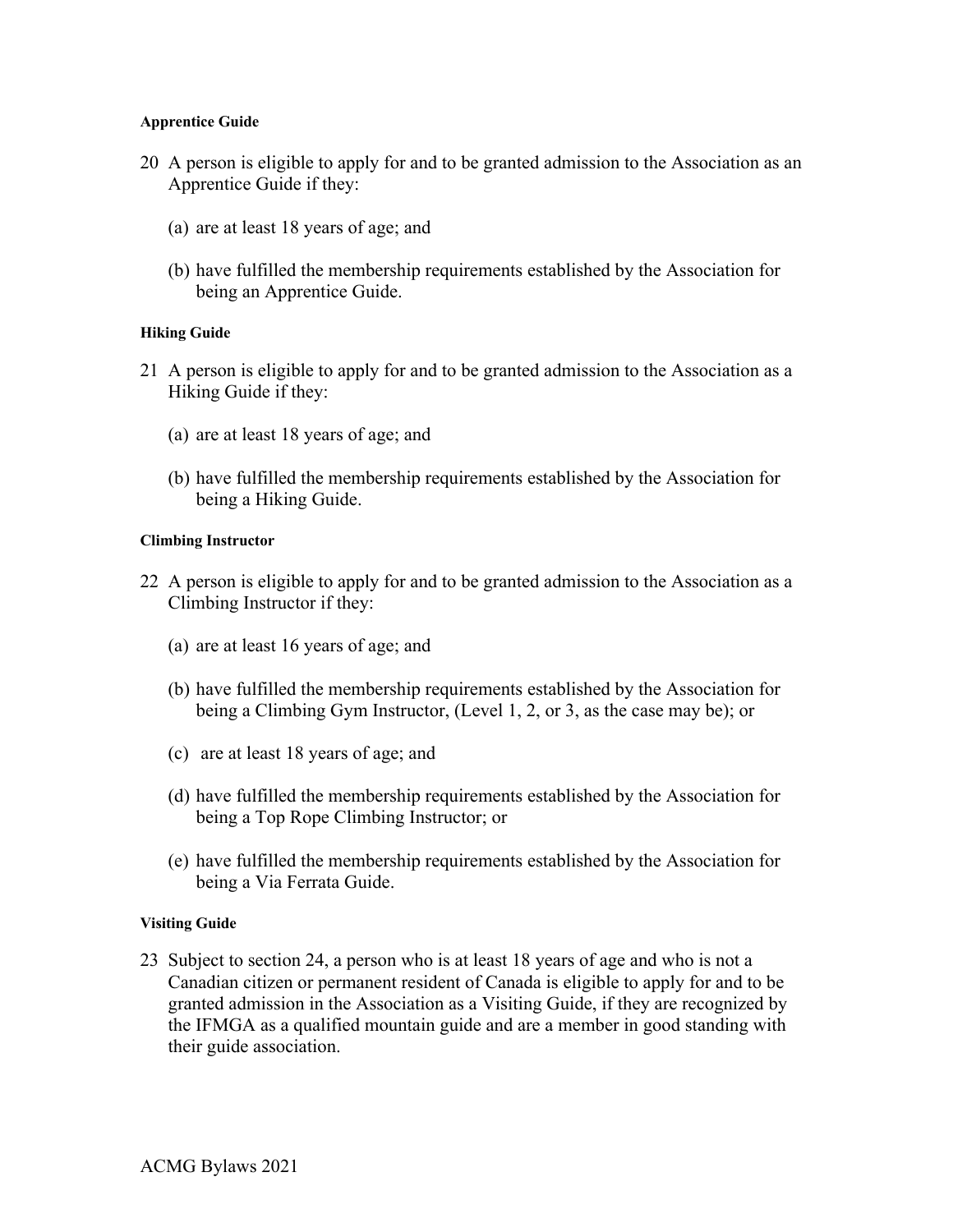### **Apprentice Guide**

- 20 A person is eligible to apply for and to be granted admission to the Association as an Apprentice Guide if they:
	- (a) are at least 18 years of age; and
	- (b) have fulfilled the membership requirements established by the Association for being an Apprentice Guide.

# **Hiking Guide**

- 21 A person is eligible to apply for and to be granted admission to the Association as a Hiking Guide if they:
	- (a) are at least 18 years of age; and
	- (b) have fulfilled the membership requirements established by the Association for being a Hiking Guide.

### **Climbing Instructor**

- 22 A person is eligible to apply for and to be granted admission to the Association as a Climbing Instructor if they:
	- (a) are at least 16 years of age; and
	- (b) have fulfilled the membership requirements established by the Association for being a Climbing Gym Instructor, (Level 1, 2, or 3, as the case may be); or
	- (c) are at least 18 years of age; and
	- (d) have fulfilled the membership requirements established by the Association for being a Top Rope Climbing Instructor; or
	- (e) have fulfilled the membership requirements established by the Association for being a Via Ferrata Guide.

# **Visiting Guide**

23 Subject to section 24, a person who is at least 18 years of age and who is not a Canadian citizen or permanent resident of Canada is eligible to apply for and to be granted admission in the Association as a Visiting Guide, if they are recognized by the IFMGA as a qualified mountain guide and are a member in good standing with their guide association.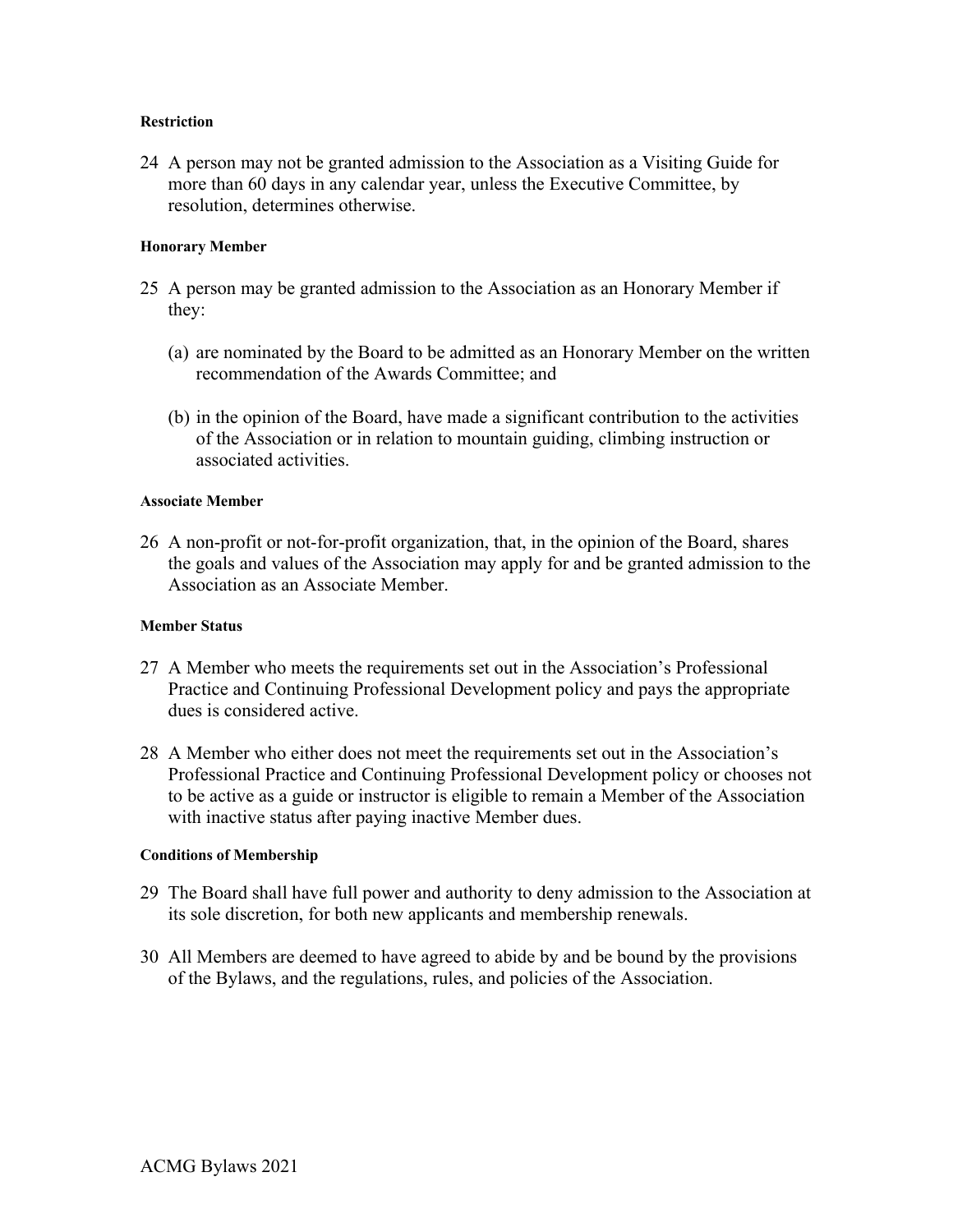### **Restriction**

24 A person may not be granted admission to the Association as a Visiting Guide for more than 60 days in any calendar year, unless the Executive Committee, by resolution, determines otherwise.

### **Honorary Member**

- 25 A person may be granted admission to the Association as an Honorary Member if they:
	- (a) are nominated by the Board to be admitted as an Honorary Member on the written recommendation of the Awards Committee; and
	- (b) in the opinion of the Board, have made a significant contribution to the activities of the Association or in relation to mountain guiding, climbing instruction or associated activities.

### **Associate Member**

26 A non-profit or not-for-profit organization, that, in the opinion of the Board, shares the goals and values of the Association may apply for and be granted admission to the Association as an Associate Member.

# **Member Status**

- 27 A Member who meets the requirements set out in the Association's Professional Practice and Continuing Professional Development policy and pays the appropriate dues is considered active.
- 28 A Member who either does not meet the requirements set out in the Association's Professional Practice and Continuing Professional Development policy or chooses not to be active as a guide or instructor is eligible to remain a Member of the Association with inactive status after paying inactive Member dues.

#### **Conditions of Membership**

- 29 The Board shall have full power and authority to deny admission to the Association at its sole discretion, for both new applicants and membership renewals.
- 30 All Members are deemed to have agreed to abide by and be bound by the provisions of the Bylaws, and the regulations, rules, and policies of the Association.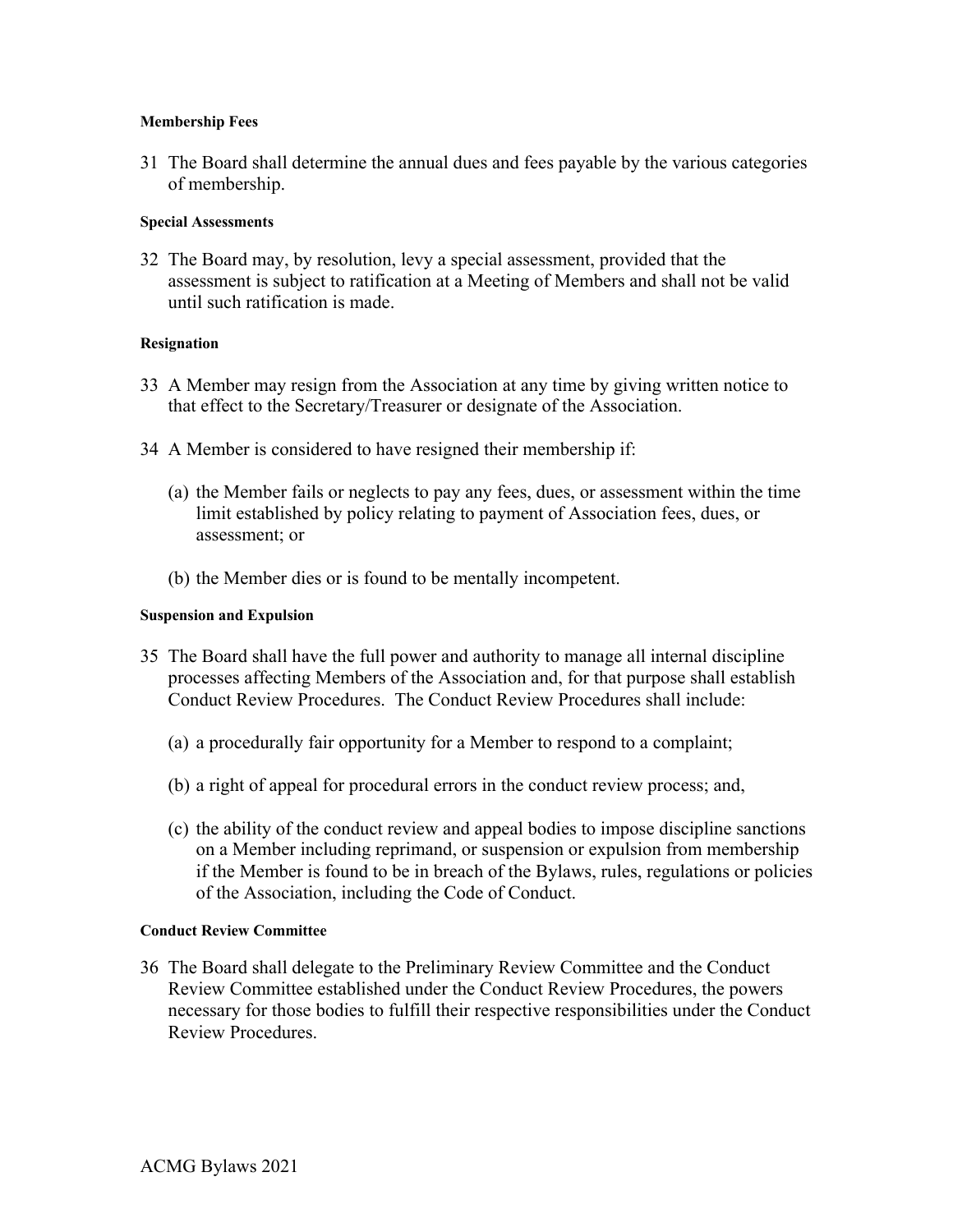### **Membership Fees**

31 The Board shall determine the annual dues and fees payable by the various categories of membership.

### **Special Assessments**

32 The Board may, by resolution, levy a special assessment, provided that the assessment is subject to ratification at a Meeting of Members and shall not be valid until such ratification is made.

### **Resignation**

- 33 A Member may resign from the Association at any time by giving written notice to that effect to the Secretary/Treasurer or designate of the Association.
- 34 A Member is considered to have resigned their membership if:
	- (a) the Member fails or neglects to pay any fees, dues, or assessment within the time limit established by policy relating to payment of Association fees, dues, or assessment; or
	- (b) the Member dies or is found to be mentally incompetent.

### **Suspension and Expulsion**

- 35 The Board shall have the full power and authority to manage all internal discipline processes affecting Members of the Association and, for that purpose shall establish Conduct Review Procedures. The Conduct Review Procedures shall include:
	- (a) a procedurally fair opportunity for a Member to respond to a complaint;
	- (b) a right of appeal for procedural errors in the conduct review process; and,
	- (c) the ability of the conduct review and appeal bodies to impose discipline sanctions on a Member including reprimand, or suspension or expulsion from membership if the Member is found to be in breach of the Bylaws, rules, regulations or policies of the Association, including the Code of Conduct.

#### **Conduct Review Committee**

36 The Board shall delegate to the Preliminary Review Committee and the Conduct Review Committee established under the Conduct Review Procedures, the powers necessary for those bodies to fulfill their respective responsibilities under the Conduct Review Procedures.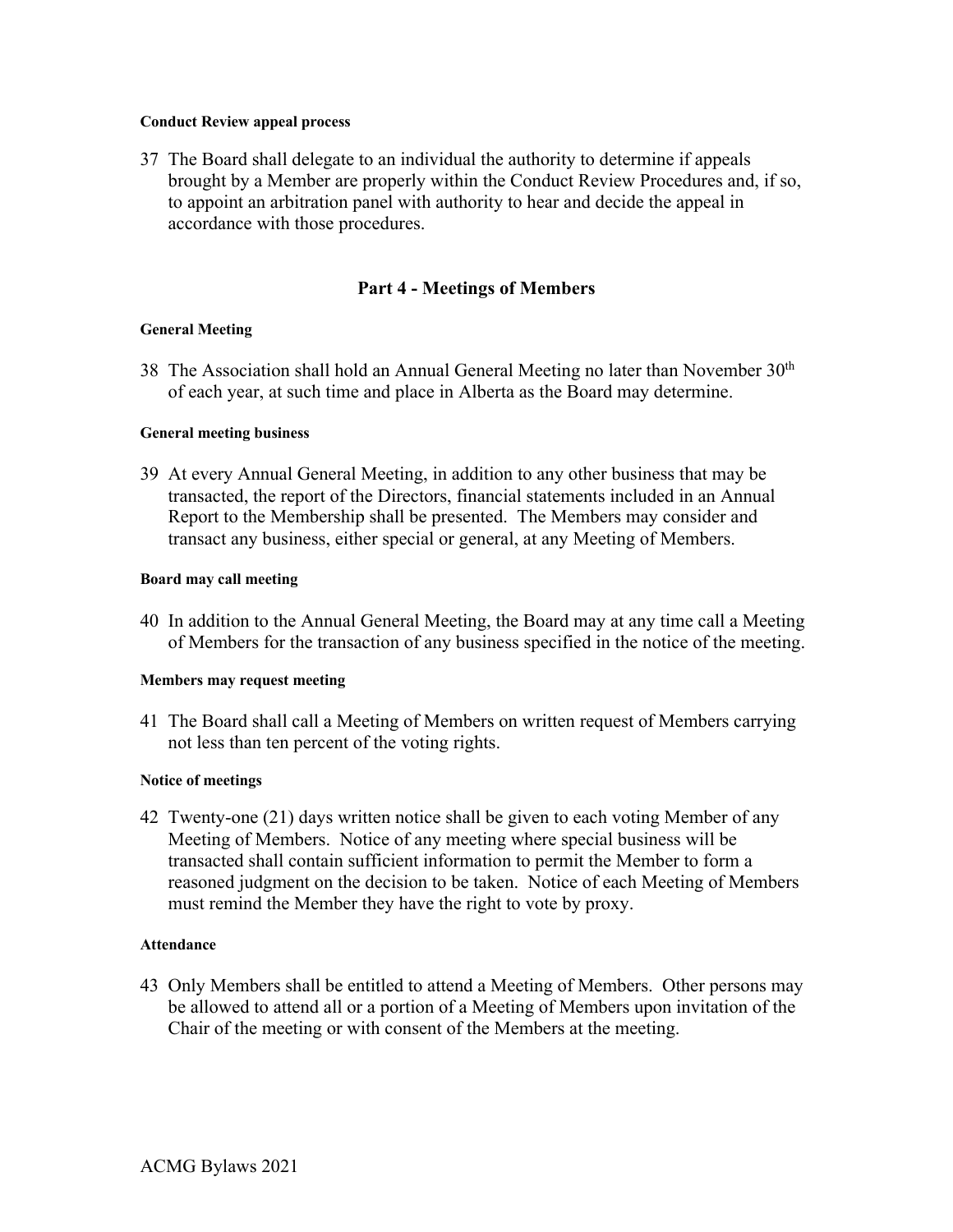### **Conduct Review appeal process**

37 The Board shall delegate to an individual the authority to determine if appeals brought by a Member are properly within the Conduct Review Procedures and, if so, to appoint an arbitration panel with authority to hear and decide the appeal in accordance with those procedures.

# **Part 4 - Meetings of Members**

# **General Meeting**

38 The Association shall hold an Annual General Meeting no later than November 30th of each year, at such time and place in Alberta as the Board may determine.

# **General meeting business**

39 At every Annual General Meeting, in addition to any other business that may be transacted, the report of the Directors, financial statements included in an Annual Report to the Membership shall be presented. The Members may consider and transact any business, either special or general, at any Meeting of Members.

# **Board may call meeting**

40 In addition to the Annual General Meeting, the Board may at any time call a Meeting of Members for the transaction of any business specified in the notice of the meeting.

# **Members may request meeting**

41 The Board shall call a Meeting of Members on written request of Members carrying not less than ten percent of the voting rights.

# **Notice of meetings**

42 Twenty-one (21) days written notice shall be given to each voting Member of any Meeting of Members. Notice of any meeting where special business will be transacted shall contain sufficient information to permit the Member to form a reasoned judgment on the decision to be taken. Notice of each Meeting of Members must remind the Member they have the right to vote by proxy.

# **Attendance**

43 Only Members shall be entitled to attend a Meeting of Members. Other persons may be allowed to attend all or a portion of a Meeting of Members upon invitation of the Chair of the meeting or with consent of the Members at the meeting.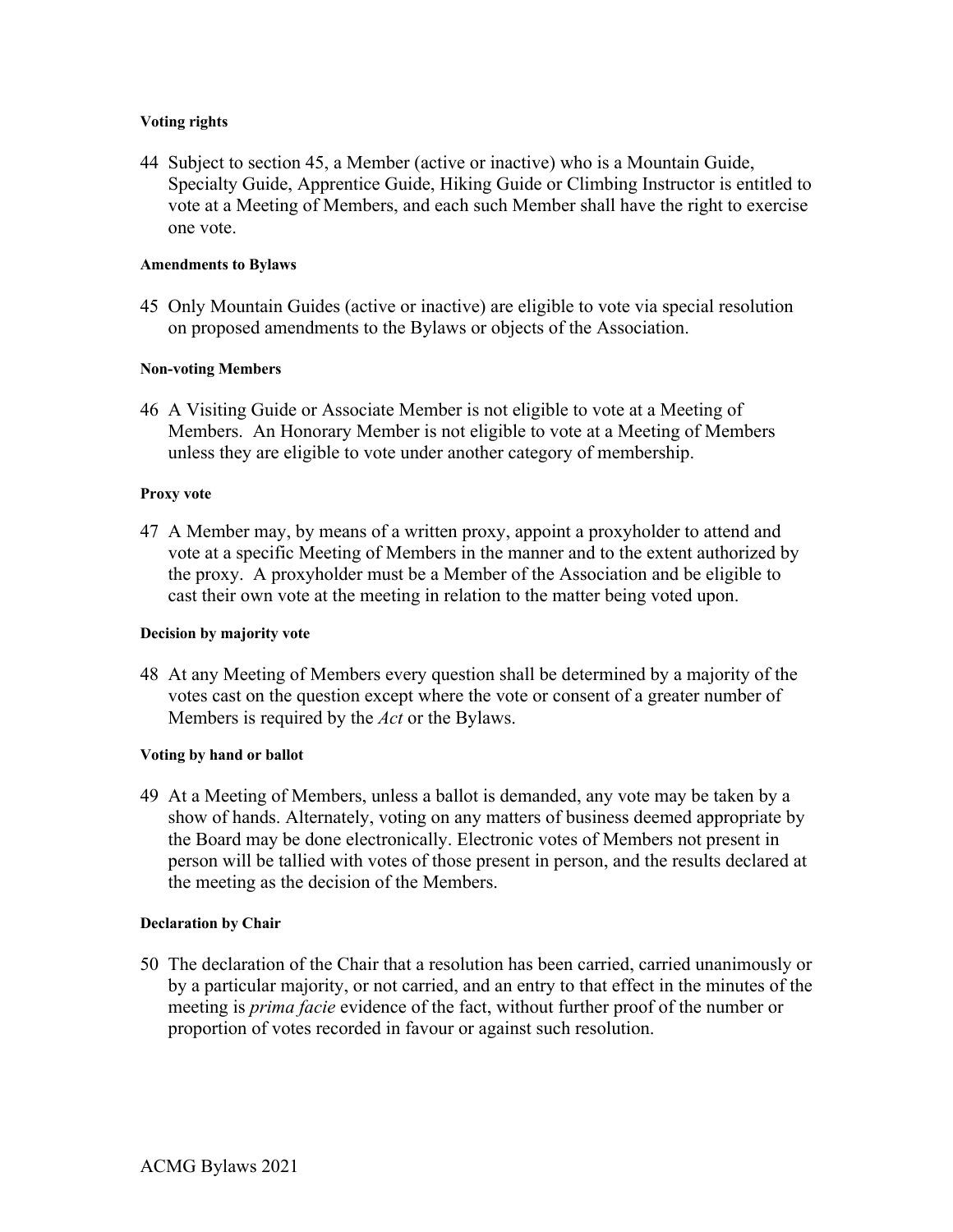### **Voting rights**

44 Subject to section 45, a Member (active or inactive) who is a Mountain Guide, Specialty Guide, Apprentice Guide, Hiking Guide or Climbing Instructor is entitled to vote at a Meeting of Members, and each such Member shall have the right to exercise one vote.

### **Amendments to Bylaws**

45 Only Mountain Guides (active or inactive) are eligible to vote via special resolution on proposed amendments to the Bylaws or objects of the Association.

### **Non-voting Members**

46 A Visiting Guide or Associate Member is not eligible to vote at a Meeting of Members. An Honorary Member is not eligible to vote at a Meeting of Members unless they are eligible to vote under another category of membership.

### **Proxy vote**

47 A Member may, by means of a written proxy, appoint a proxyholder to attend and vote at a specific Meeting of Members in the manner and to the extent authorized by the proxy. A proxyholder must be a Member of the Association and be eligible to cast their own vote at the meeting in relation to the matter being voted upon.

# **Decision by majority vote**

48 At any Meeting of Members every question shall be determined by a majority of the votes cast on the question except where the vote or consent of a greater number of Members is required by the *Act* or the Bylaws.

# **Voting by hand or ballot**

49 At a Meeting of Members, unless a ballot is demanded, any vote may be taken by a show of hands. Alternately, voting on any matters of business deemed appropriate by the Board may be done electronically. Electronic votes of Members not present in person will be tallied with votes of those present in person, and the results declared at the meeting as the decision of the Members.

# **Declaration by Chair**

50 The declaration of the Chair that a resolution has been carried, carried unanimously or by a particular majority, or not carried, and an entry to that effect in the minutes of the meeting is *prima facie* evidence of the fact, without further proof of the number or proportion of votes recorded in favour or against such resolution.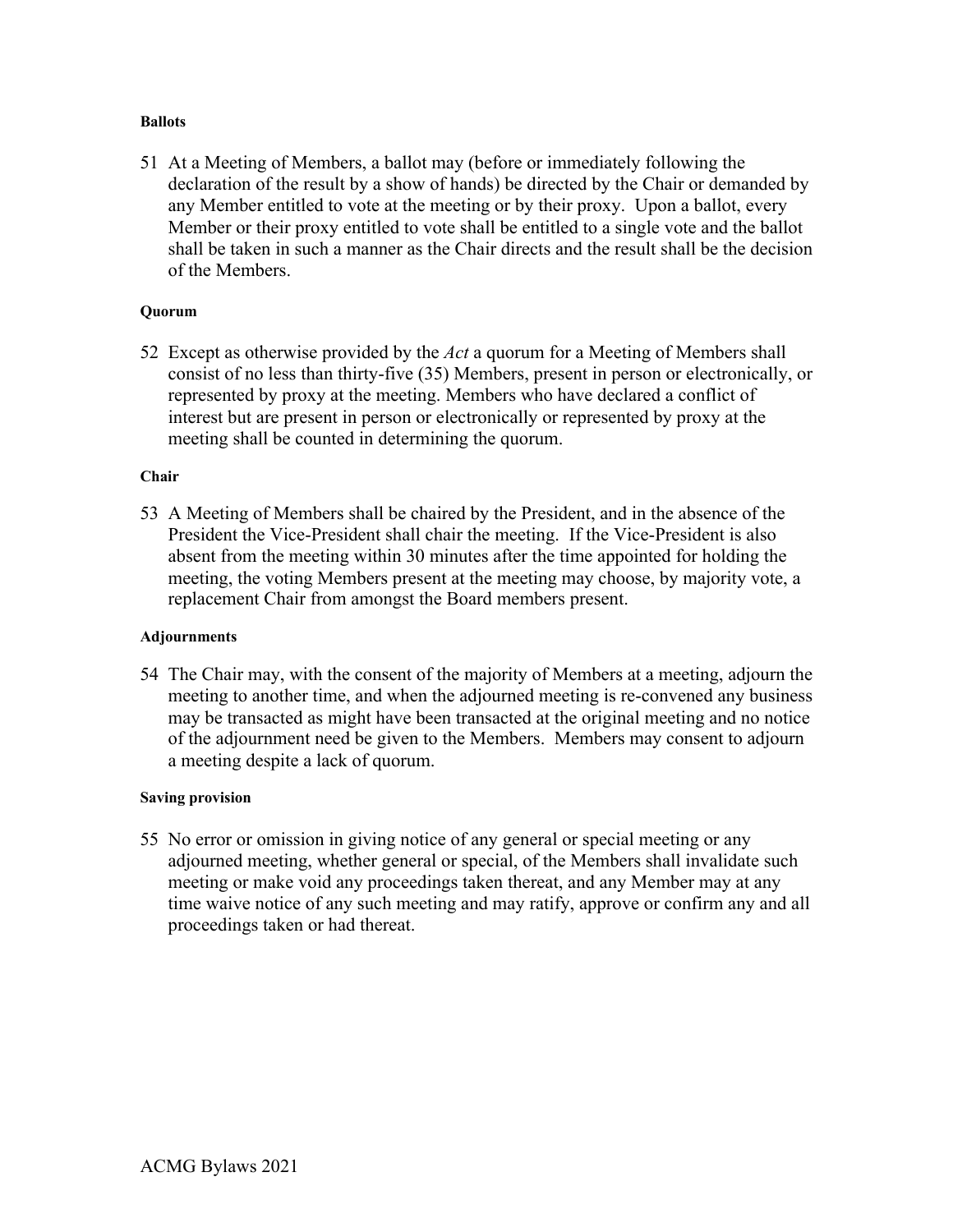### **Ballots**

51 At a Meeting of Members, a ballot may (before or immediately following the declaration of the result by a show of hands) be directed by the Chair or demanded by any Member entitled to vote at the meeting or by their proxy. Upon a ballot, every Member or their proxy entitled to vote shall be entitled to a single vote and the ballot shall be taken in such a manner as the Chair directs and the result shall be the decision of the Members.

### **Quorum**

52 Except as otherwise provided by the *Act* a quorum for a Meeting of Members shall consist of no less than thirty-five (35) Members, present in person or electronically, or represented by proxy at the meeting. Members who have declared a conflict of interest but are present in person or electronically or represented by proxy at the meeting shall be counted in determining the quorum.

### **Chair**

53 A Meeting of Members shall be chaired by the President, and in the absence of the President the Vice-President shall chair the meeting. If the Vice-President is also absent from the meeting within 30 minutes after the time appointed for holding the meeting, the voting Members present at the meeting may choose, by majority vote, a replacement Chair from amongst the Board members present.

# **Adjournments**

54 The Chair may, with the consent of the majority of Members at a meeting, adjourn the meeting to another time, and when the adjourned meeting is re-convened any business may be transacted as might have been transacted at the original meeting and no notice of the adjournment need be given to the Members. Members may consent to adjourn a meeting despite a lack of quorum.

# **Saving provision**

55 No error or omission in giving notice of any general or special meeting or any adjourned meeting, whether general or special, of the Members shall invalidate such meeting or make void any proceedings taken thereat, and any Member may at any time waive notice of any such meeting and may ratify, approve or confirm any and all proceedings taken or had thereat.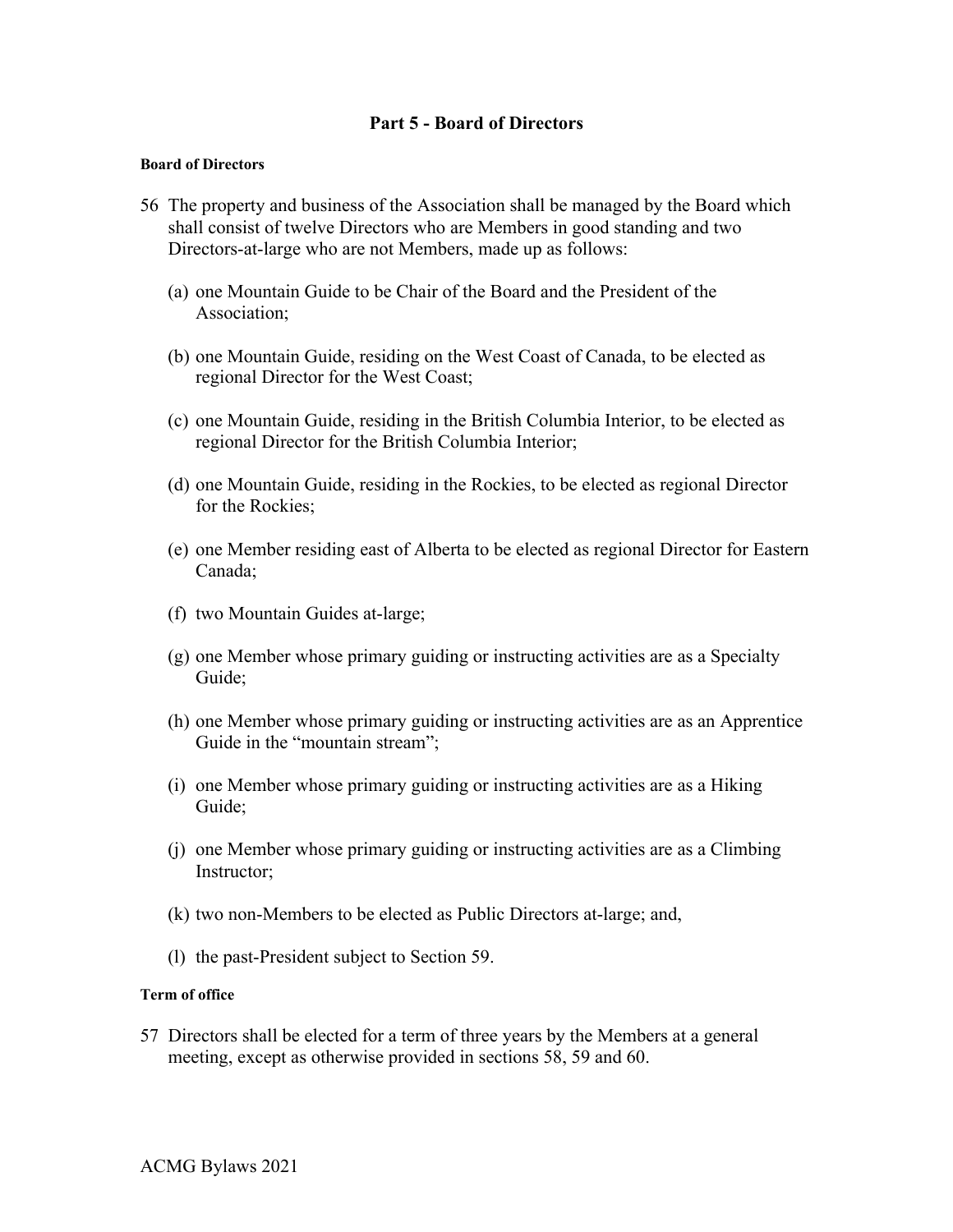# **Part 5 - Board of Directors**

### **Board of Directors**

- 56 The property and business of the Association shall be managed by the Board which shall consist of twelve Directors who are Members in good standing and two Directors-at-large who are not Members, made up as follows:
	- (a) one Mountain Guide to be Chair of the Board and the President of the Association;
	- (b) one Mountain Guide, residing on the West Coast of Canada, to be elected as regional Director for the West Coast;
	- (c) one Mountain Guide, residing in the British Columbia Interior, to be elected as regional Director for the British Columbia Interior;
	- (d) one Mountain Guide, residing in the Rockies, to be elected as regional Director for the Rockies;
	- (e) one Member residing east of Alberta to be elected as regional Director for Eastern Canada;
	- (f) two Mountain Guides at-large;
	- (g) one Member whose primary guiding or instructing activities are as a Specialty Guide;
	- (h) one Member whose primary guiding or instructing activities are as an Apprentice Guide in the "mountain stream";
	- (i) one Member whose primary guiding or instructing activities are as a Hiking Guide;
	- (j) one Member whose primary guiding or instructing activities are as a Climbing Instructor;
	- (k) two non-Members to be elected as Public Directors at-large; and,
	- (l) the past-President subject to Section 59.

# **Term of office**

57 Directors shall be elected for a term of three years by the Members at a general meeting, except as otherwise provided in sections 58, 59 and 60.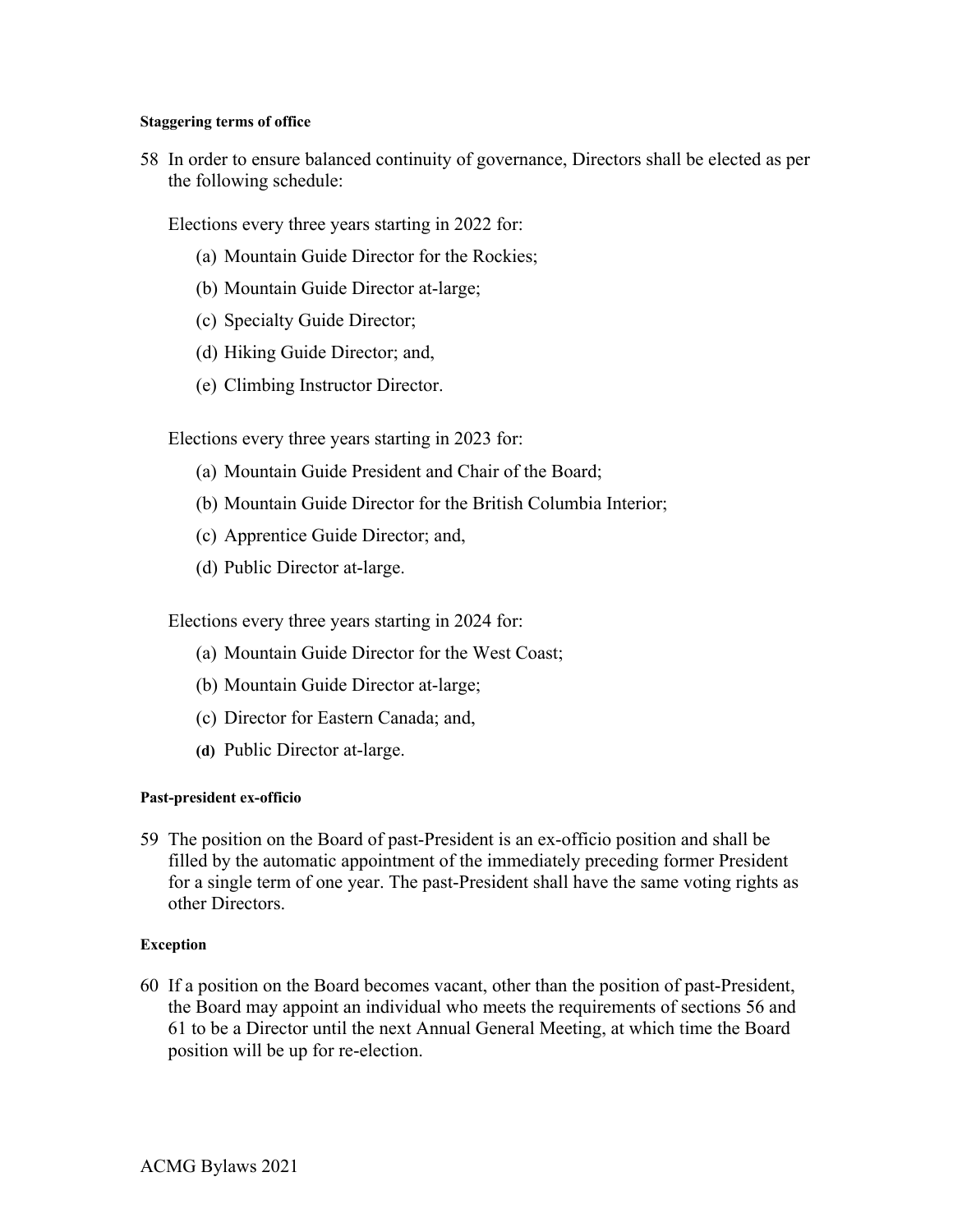### **Staggering terms of office**

58 In order to ensure balanced continuity of governance, Directors shall be elected as per the following schedule:

Elections every three years starting in 2022 for:

- (a) Mountain Guide Director for the Rockies;
- (b) Mountain Guide Director at-large;
- (c) Specialty Guide Director;
- (d) Hiking Guide Director; and,
- (e) Climbing Instructor Director.

Elections every three years starting in 2023 for:

- (a) Mountain Guide President and Chair of the Board;
- (b) Mountain Guide Director for the British Columbia Interior;
- (c) Apprentice Guide Director; and,
- (d) Public Director at-large.

Elections every three years starting in 2024 for:

- (a) Mountain Guide Director for the West Coast;
- (b) Mountain Guide Director at-large;
- (c) Director for Eastern Canada; and,
- **(d)** Public Director at-large.

# **Past-president ex-officio**

59 The position on the Board of past-President is an ex-officio position and shall be filled by the automatic appointment of the immediately preceding former President for a single term of one year. The past-President shall have the same voting rights as other Directors.

# **Exception**

60 If a position on the Board becomes vacant, other than the position of past-President, the Board may appoint an individual who meets the requirements of sections 56 and 61 to be a Director until the next Annual General Meeting, at which time the Board position will be up for re-election.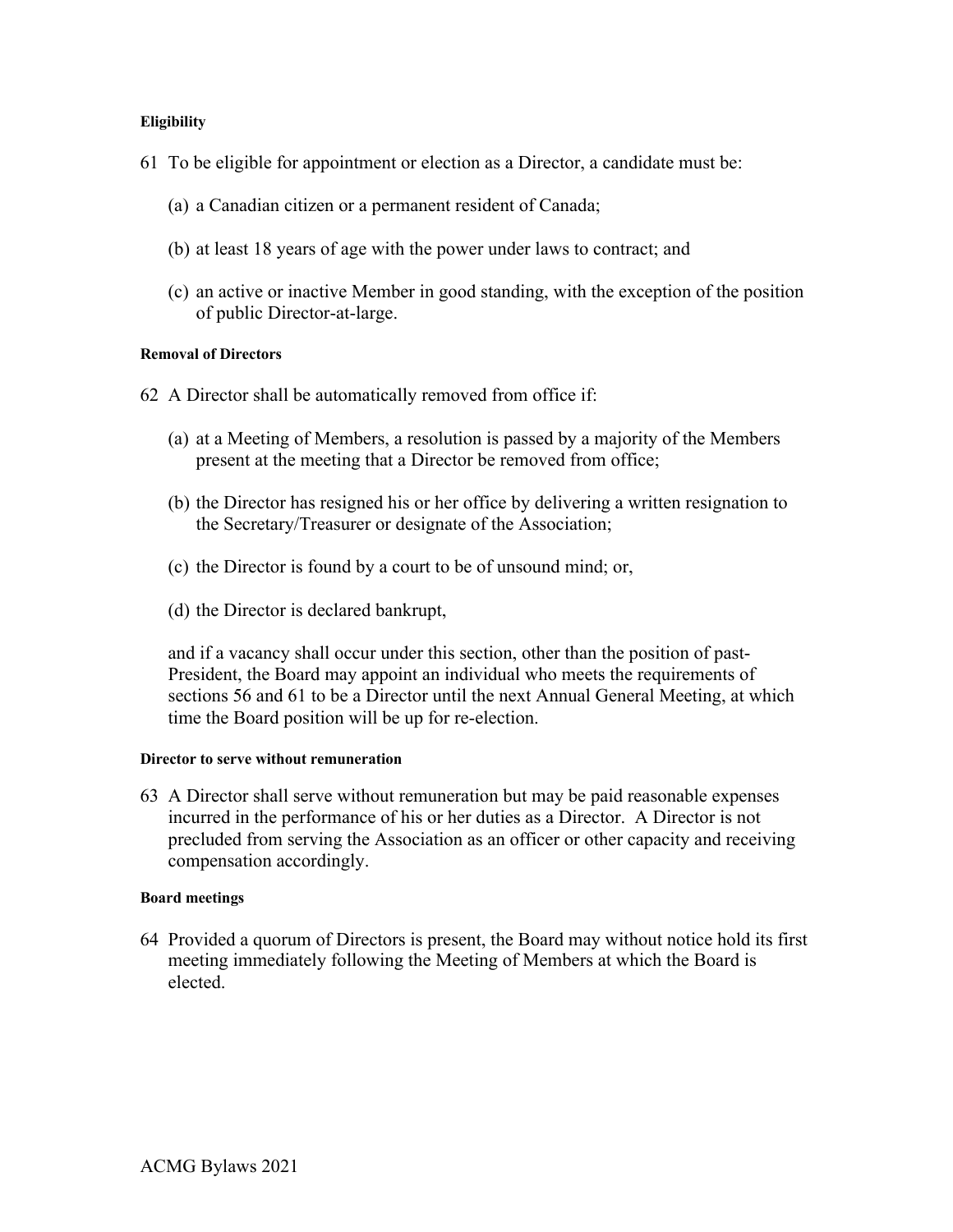# **Eligibility**

- 61 To be eligible for appointment or election as a Director, a candidate must be:
	- (a) a Canadian citizen or a permanent resident of Canada;
	- (b) at least 18 years of age with the power under laws to contract; and
	- (c) an active or inactive Member in good standing, with the exception of the position of public Director-at-large.

# **Removal of Directors**

- 62 A Director shall be automatically removed from office if:
	- (a) at a Meeting of Members, a resolution is passed by a majority of the Members present at the meeting that a Director be removed from office;
	- (b) the Director has resigned his or her office by delivering a written resignation to the Secretary/Treasurer or designate of the Association;
	- (c) the Director is found by a court to be of unsound mind; or,
	- (d) the Director is declared bankrupt,

and if a vacancy shall occur under this section, other than the position of past-President, the Board may appoint an individual who meets the requirements of sections 56 and 61 to be a Director until the next Annual General Meeting, at which time the Board position will be up for re-election.

#### **Director to serve without remuneration**

63 A Director shall serve without remuneration but may be paid reasonable expenses incurred in the performance of his or her duties as a Director. A Director is not precluded from serving the Association as an officer or other capacity and receiving compensation accordingly.

#### **Board meetings**

64 Provided a quorum of Directors is present, the Board may without notice hold its first meeting immediately following the Meeting of Members at which the Board is elected.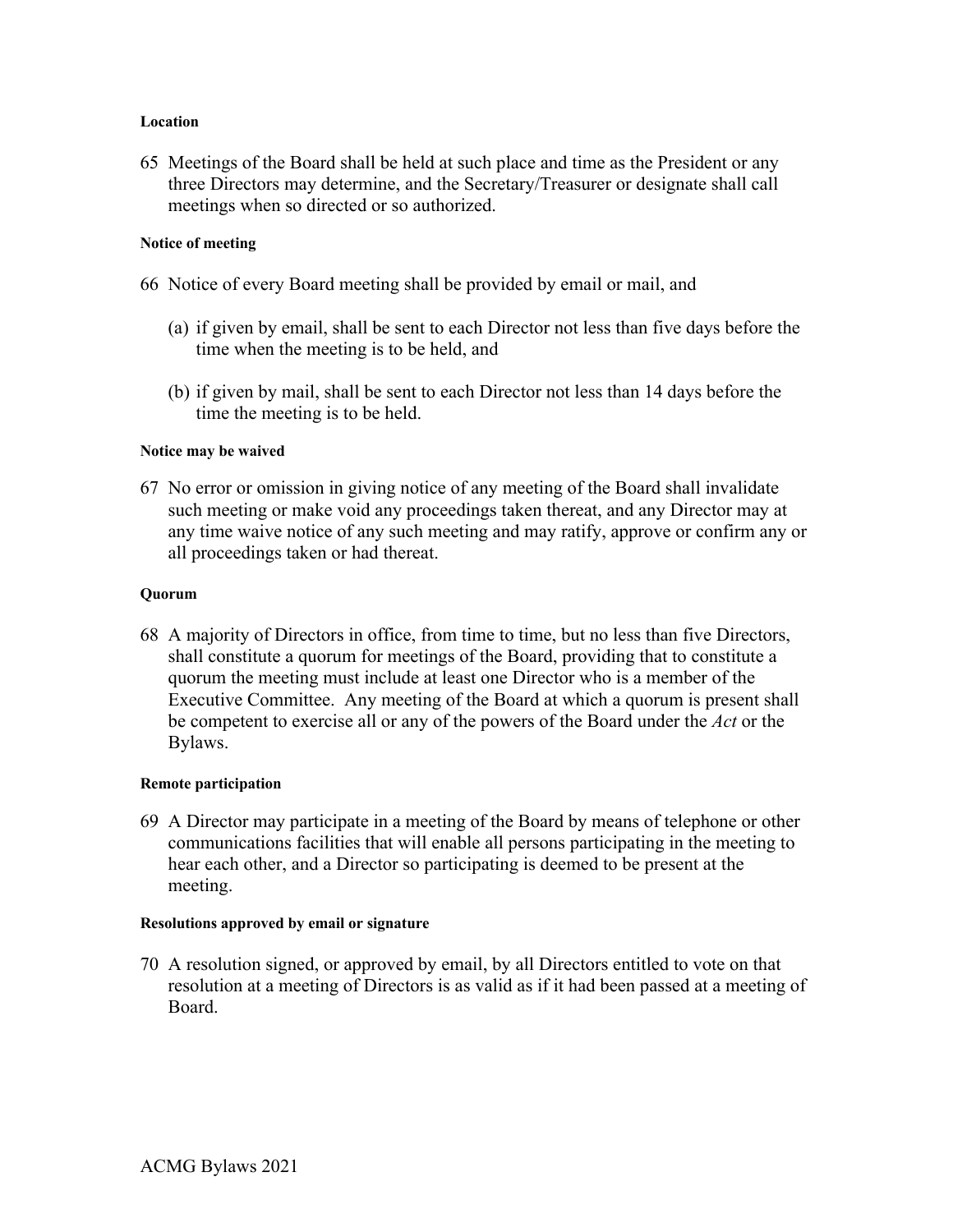### **Location**

65 Meetings of the Board shall be held at such place and time as the President or any three Directors may determine, and the Secretary/Treasurer or designate shall call meetings when so directed or so authorized.

# **Notice of meeting**

- 66 Notice of every Board meeting shall be provided by email or mail, and
	- (a) if given by email, shall be sent to each Director not less than five days before the time when the meeting is to be held, and
	- (b) if given by mail, shall be sent to each Director not less than 14 days before the time the meeting is to be held.

### **Notice may be waived**

67 No error or omission in giving notice of any meeting of the Board shall invalidate such meeting or make void any proceedings taken thereat, and any Director may at any time waive notice of any such meeting and may ratify, approve or confirm any or all proceedings taken or had thereat.

### **Quorum**

68 A majority of Directors in office, from time to time, but no less than five Directors, shall constitute a quorum for meetings of the Board, providing that to constitute a quorum the meeting must include at least one Director who is a member of the Executive Committee. Any meeting of the Board at which a quorum is present shall be competent to exercise all or any of the powers of the Board under the *Act* or the Bylaws.

#### **Remote participation**

69 A Director may participate in a meeting of the Board by means of telephone or other communications facilities that will enable all persons participating in the meeting to hear each other, and a Director so participating is deemed to be present at the meeting.

### **Resolutions approved by email or signature**

70 A resolution signed, or approved by email, by all Directors entitled to vote on that resolution at a meeting of Directors is as valid as if it had been passed at a meeting of Board.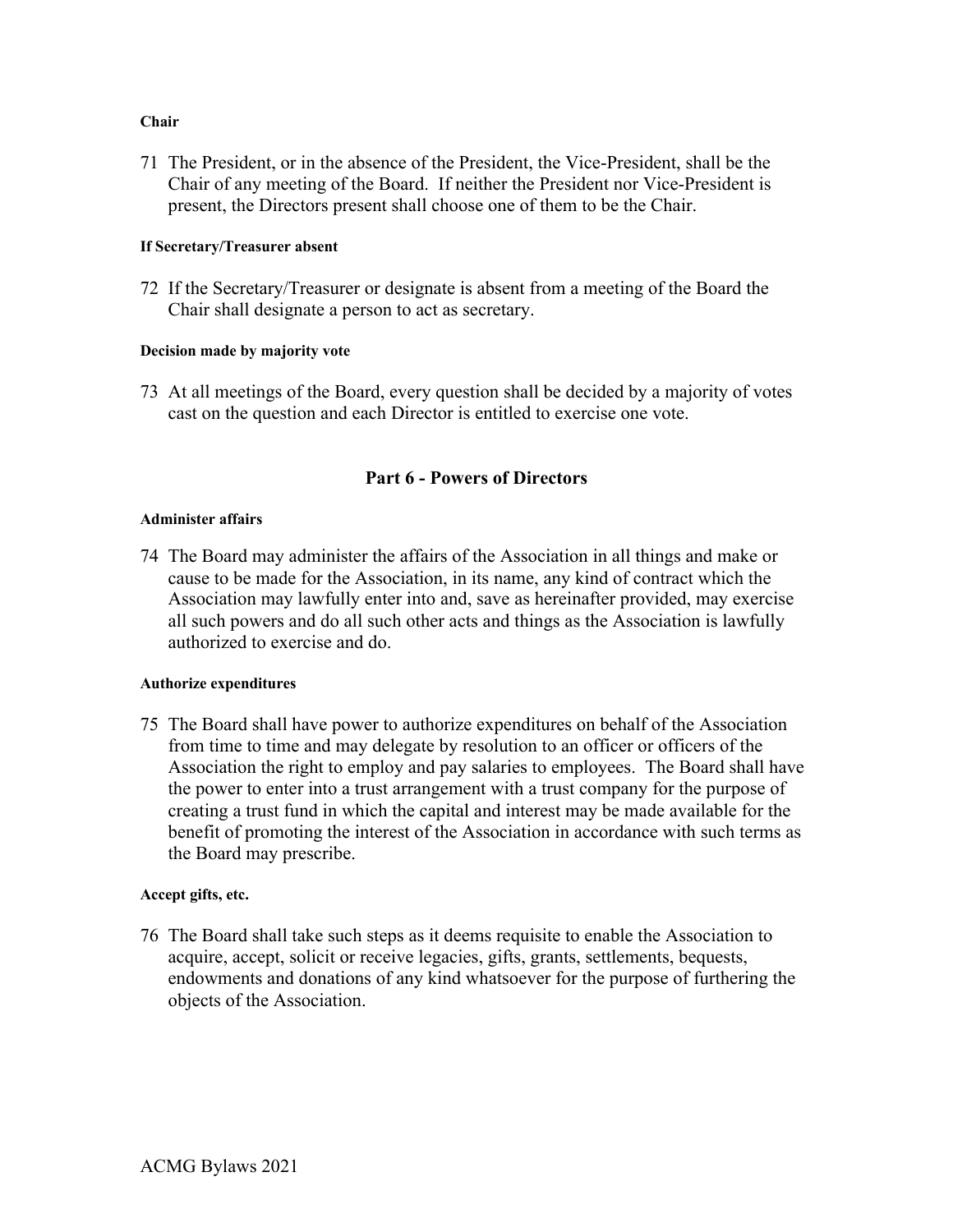# **Chair**

71 The President, or in the absence of the President, the Vice-President, shall be the Chair of any meeting of the Board. If neither the President nor Vice-President is present, the Directors present shall choose one of them to be the Chair.

# **If Secretary/Treasurer absent**

72 If the Secretary/Treasurer or designate is absent from a meeting of the Board the Chair shall designate a person to act as secretary.

# **Decision made by majority vote**

73 At all meetings of the Board, every question shall be decided by a majority of votes cast on the question and each Director is entitled to exercise one vote.

# **Part 6 - Powers of Directors**

# **Administer affairs**

74 The Board may administer the affairs of the Association in all things and make or cause to be made for the Association, in its name, any kind of contract which the Association may lawfully enter into and, save as hereinafter provided, may exercise all such powers and do all such other acts and things as the Association is lawfully authorized to exercise and do.

# **Authorize expenditures**

75 The Board shall have power to authorize expenditures on behalf of the Association from time to time and may delegate by resolution to an officer or officers of the Association the right to employ and pay salaries to employees. The Board shall have the power to enter into a trust arrangement with a trust company for the purpose of creating a trust fund in which the capital and interest may be made available for the benefit of promoting the interest of the Association in accordance with such terms as the Board may prescribe.

# **Accept gifts, etc.**

76 The Board shall take such steps as it deems requisite to enable the Association to acquire, accept, solicit or receive legacies, gifts, grants, settlements, bequests, endowments and donations of any kind whatsoever for the purpose of furthering the objects of the Association.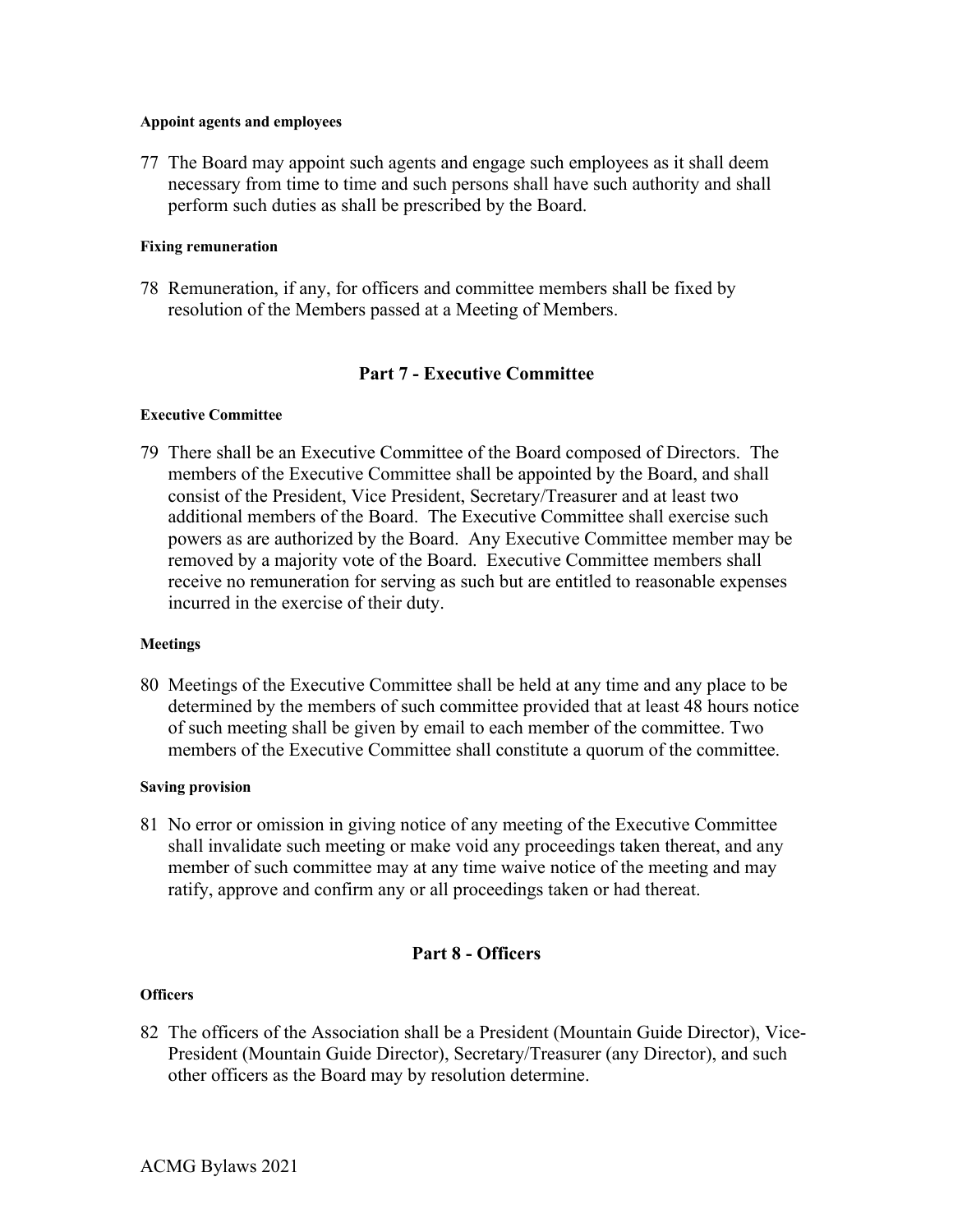### **Appoint agents and employees**

77 The Board may appoint such agents and engage such employees as it shall deem necessary from time to time and such persons shall have such authority and shall perform such duties as shall be prescribed by the Board.

# **Fixing remuneration**

78 Remuneration, if any, for officers and committee members shall be fixed by resolution of the Members passed at a Meeting of Members.

# **Part 7 - Executive Committee**

# **Executive Committee**

79 There shall be an Executive Committee of the Board composed of Directors. The members of the Executive Committee shall be appointed by the Board, and shall consist of the President, Vice President, Secretary/Treasurer and at least two additional members of the Board. The Executive Committee shall exercise such powers as are authorized by the Board. Any Executive Committee member may be removed by a majority vote of the Board. Executive Committee members shall receive no remuneration for serving as such but are entitled to reasonable expenses incurred in the exercise of their duty.

# **Meetings**

80 Meetings of the Executive Committee shall be held at any time and any place to be determined by the members of such committee provided that at least 48 hours notice of such meeting shall be given by email to each member of the committee. Two members of the Executive Committee shall constitute a quorum of the committee.

# **Saving provision**

81 No error or omission in giving notice of any meeting of the Executive Committee shall invalidate such meeting or make void any proceedings taken thereat, and any member of such committee may at any time waive notice of the meeting and may ratify, approve and confirm any or all proceedings taken or had thereat.

# **Part 8 - Officers**

# **Officers**

82 The officers of the Association shall be a President (Mountain Guide Director), Vice-President (Mountain Guide Director), Secretary/Treasurer (any Director), and such other officers as the Board may by resolution determine.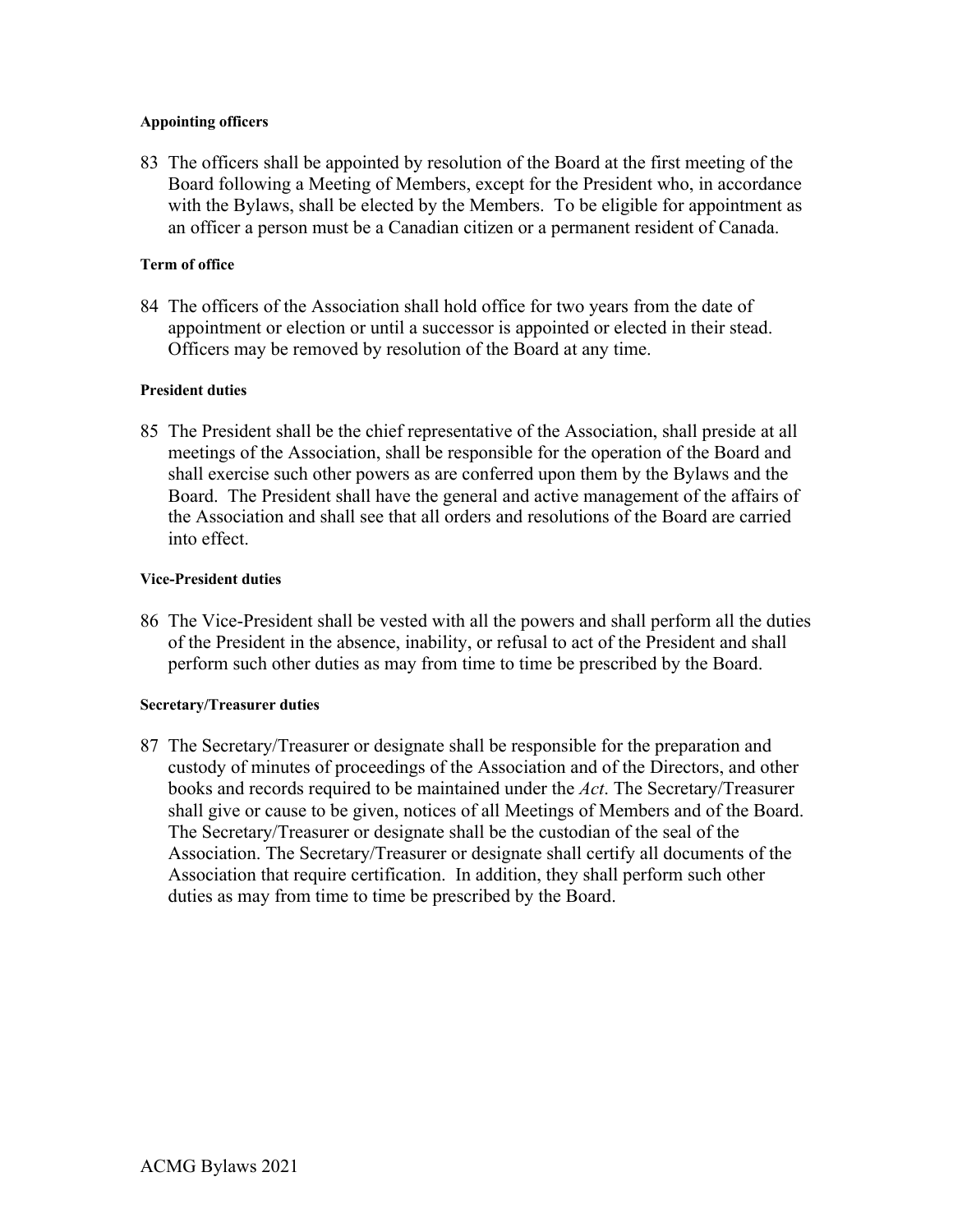# **Appointing officers**

83 The officers shall be appointed by resolution of the Board at the first meeting of the Board following a Meeting of Members, except for the President who, in accordance with the Bylaws, shall be elected by the Members. To be eligible for appointment as an officer a person must be a Canadian citizen or a permanent resident of Canada.

# **Term of office**

84 The officers of the Association shall hold office for two years from the date of appointment or election or until a successor is appointed or elected in their stead. Officers may be removed by resolution of the Board at any time.

# **President duties**

85 The President shall be the chief representative of the Association, shall preside at all meetings of the Association, shall be responsible for the operation of the Board and shall exercise such other powers as are conferred upon them by the Bylaws and the Board. The President shall have the general and active management of the affairs of the Association and shall see that all orders and resolutions of the Board are carried into effect.

# **Vice-President duties**

86 The Vice-President shall be vested with all the powers and shall perform all the duties of the President in the absence, inability, or refusal to act of the President and shall perform such other duties as may from time to time be prescribed by the Board.

# **Secretary/Treasurer duties**

87 The Secretary/Treasurer or designate shall be responsible for the preparation and custody of minutes of proceedings of the Association and of the Directors, and other books and records required to be maintained under the *Act*. The Secretary/Treasurer shall give or cause to be given, notices of all Meetings of Members and of the Board. The Secretary/Treasurer or designate shall be the custodian of the seal of the Association. The Secretary/Treasurer or designate shall certify all documents of the Association that require certification. In addition, they shall perform such other duties as may from time to time be prescribed by the Board.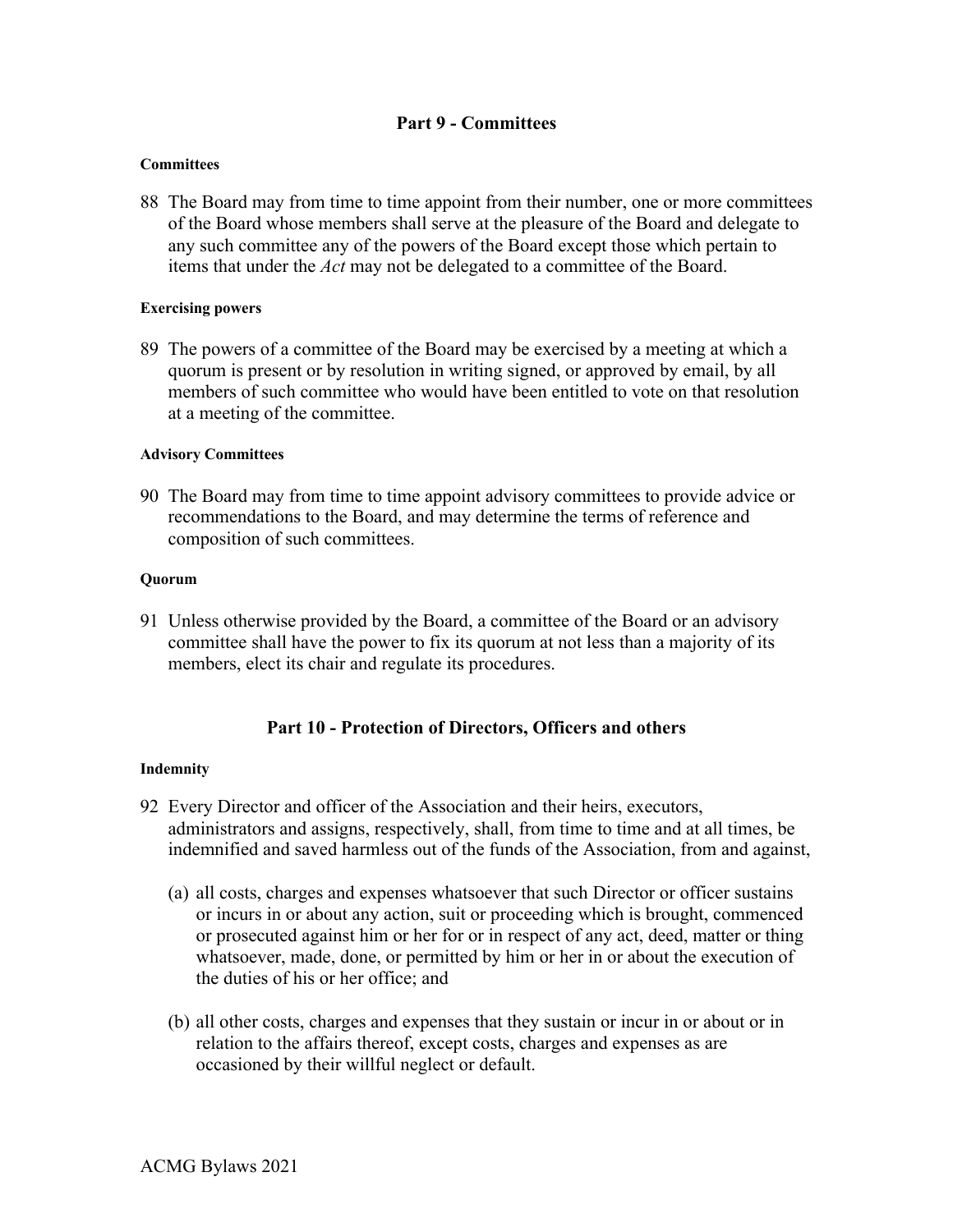# **Part 9 - Committees**

### **Committees**

88 The Board may from time to time appoint from their number, one or more committees of the Board whose members shall serve at the pleasure of the Board and delegate to any such committee any of the powers of the Board except those which pertain to items that under the *Act* may not be delegated to a committee of the Board.

# **Exercising powers**

89 The powers of a committee of the Board may be exercised by a meeting at which a quorum is present or by resolution in writing signed, or approved by email, by all members of such committee who would have been entitled to vote on that resolution at a meeting of the committee.

### **Advisory Committees**

90 The Board may from time to time appoint advisory committees to provide advice or recommendations to the Board, and may determine the terms of reference and composition of such committees.

#### **Quorum**

91 Unless otherwise provided by the Board, a committee of the Board or an advisory committee shall have the power to fix its quorum at not less than a majority of its members, elect its chair and regulate its procedures.

# **Part 10 - Protection of Directors, Officers and others**

#### **Indemnity**

- 92 Every Director and officer of the Association and their heirs, executors, administrators and assigns, respectively, shall, from time to time and at all times, be indemnified and saved harmless out of the funds of the Association, from and against,
	- (a) all costs, charges and expenses whatsoever that such Director or officer sustains or incurs in or about any action, suit or proceeding which is brought, commenced or prosecuted against him or her for or in respect of any act, deed, matter or thing whatsoever, made, done, or permitted by him or her in or about the execution of the duties of his or her office; and
	- (b) all other costs, charges and expenses that they sustain or incur in or about or in relation to the affairs thereof, except costs, charges and expenses as are occasioned by their willful neglect or default.